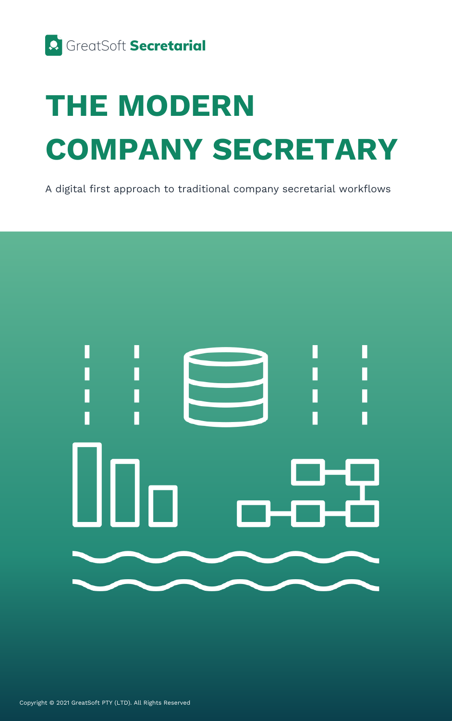

### **THE MODERN COMPANY SECRETARY**

A digital first approach to traditional company secretarial workflows



Copyright © 2021 GreatSoft PTY (LTD). All Rights Reserved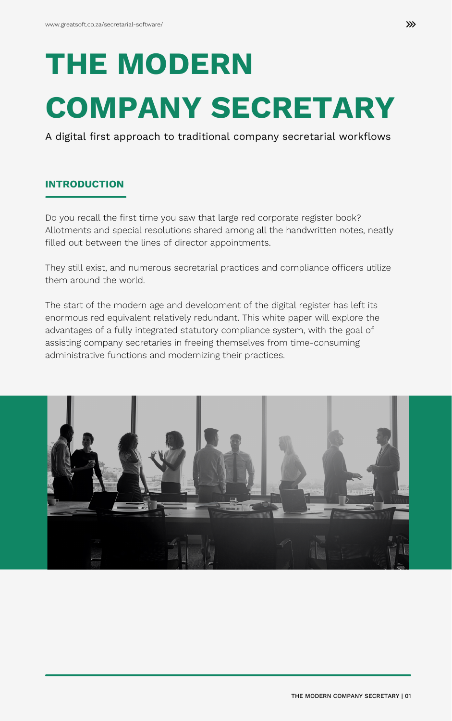Do you recall the first time you saw that large red corporate register book? Allotments and special resolutions shared among all the handwritten notes, neatly filled out between the lines of director appointments.

They still exist, and numerous secretarial practices and compliance officers utilize them around the world.

The start of the modern age and development of the digital register has left its enormous red equivalent relatively redundant. This white paper will explore the advantages of a fully integrated statutory compliance system, with the goal of assisting company secretaries in freeing themselves from time-consuming administrative functions and modernizing their practices.



## **THE MODERN COMPANY SECRETARY**

A digital first approach to traditional company secretarial workflows

#### **INTRODUCTION**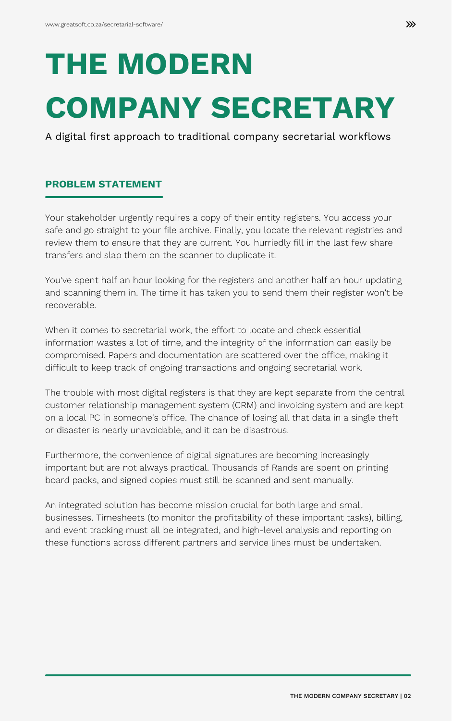Your stakeholder urgently requires a copy of their entity registers. You access your safe and go straight to your file archive. Finally, you locate the relevant registries and review them to ensure that they are current. You hurriedly fill in the last few share transfers and slap them on the scanner to duplicate it.

You've spent half an hour looking for the registers and another half an hour updating and scanning them in. The time it has taken you to send them their register won't be recoverable.

When it comes to secretarial work, the effort to locate and check essential information wastes a lot of time, and the integrity of the information can easily be compromised. Papers and documentation are scattered over the office, making it difficult to keep track of ongoing transactions and ongoing secretarial work.

The trouble with most digital registers is that they are kept separate from the central customer relationship management system (CRM) and invoicing system and are kept on a local PC in someone's office. The chance of losing all that data in a single theft or disaster is nearly unavoidable, and it can be disastrous.

Furthermore, the convenience of digital signatures are becoming increasingly important but are not always practical. Thousands of Rands are spent on printing board packs, and signed copies must still be scanned and sent manually.

An integrated solution has become mission crucial for both large and small businesses. Timesheets (to monitor the profitability of these important tasks), billing, and event tracking must all be integrated, and high-level analysis and reporting on these functions across different partners and service lines must be undertaken.

# **THE MODERN COMPANY SECRETARY**

A digital first approach to traditional company secretarial workflows

#### **PROBLEM STATEMENT**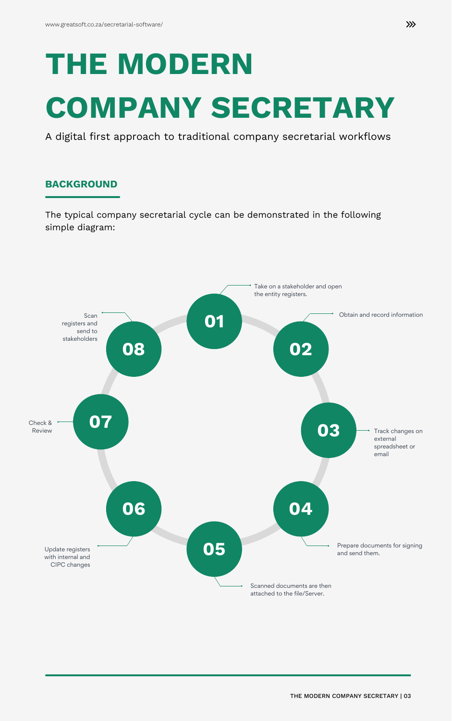## **THE MODERN COMPANY SECRETARY**

A digital first approach to traditional company secretarial workflows

#### **BACKGROUND**





The typical company secretarial cycle can be demonstrated in the following simple diagram: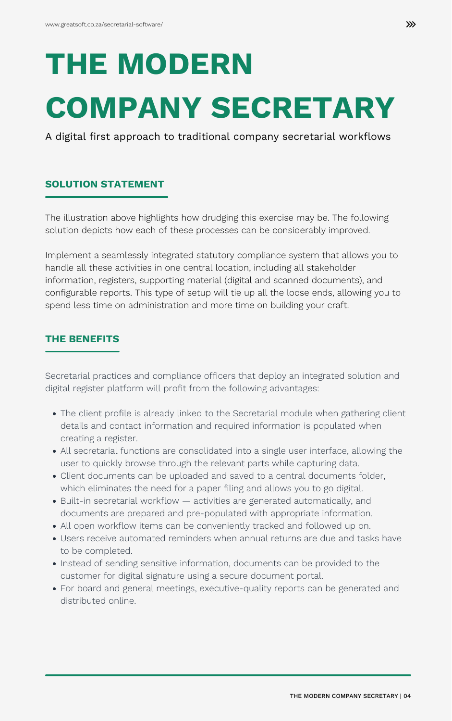The illustration above highlights how drudging this exercise may be. The following solution depicts how each of these processes can be considerably improved.

Implement a seamlessly integrated statutory compliance system that allows you to handle all these activities in one central location, including all stakeholder information, registers, supporting material (digital and scanned documents), and configurable reports. This type of setup will tie up all the loose ends, allowing you to spend less time on administration and more time on building your craft.

## **THE MODERN COMPANY SECRETARY**

A digital first approach to traditional company secretarial workflows

#### **SOLUTION STATEMENT**

#### **THE BENEFITS**

- The client profile is already linked to the Secretarial module when gathering client details and contact information and required information is populated when creating a register.
- All secretarial functions are consolidated into a single user interface, allowing the user to quickly browse through the relevant parts while capturing data.
- Client documents can be uploaded and saved to a central documents folder, which eliminates the need for a paper filing and allows you to go digital.
- Built-in secretarial workflow activities are generated automatically, and documents are prepared and pre-populated with appropriate information.
- All open workflow items can be conveniently tracked and followed up on.
- Users receive automated reminders when annual returns are due and tasks have to be completed.
- Instead of sending sensitive information, documents can be provided to the customer for digital signature using a secure document portal.
- For board and general meetings, executive-quality reports can be generated and distributed online.

Secretarial practices and compliance officers that deploy an integrated solution and

digital register platform will profit from the following advantages: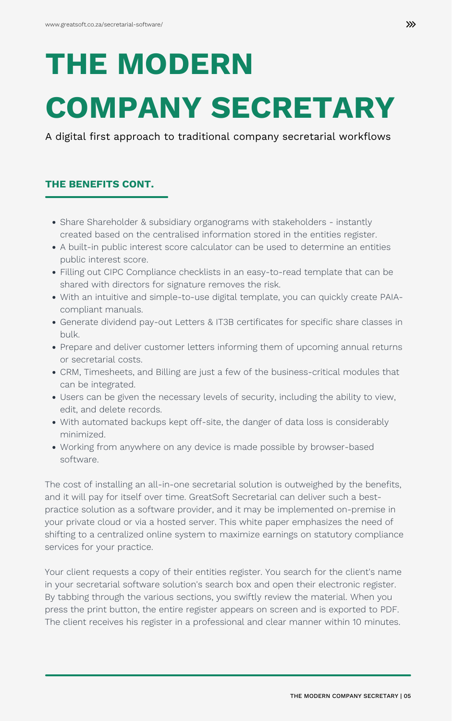# **THE MODERN COMPANY SECRETARY**

A digital first approach to traditional company secretarial workflows

#### **THE BENEFITS CONT.**

- Share Shareholder & subsidiary organograms with stakeholders instantly created based on the centralised information stored in the entities register.
- A built-in public interest score calculator can be used to determine an entities public interest score.
- Filling out CIPC Compliance checklists in an easy-to-read template that can be shared with directors for signature removes the risk.
- With an intuitive and simple-to-use digital template, you can quickly create PAIAcompliant manuals.
- Generate dividend pay-out Letters & IT3B certificates for specific share classes in bulk.
- Prepare and deliver customer letters informing them of upcoming annual returns or secretarial costs.
- CRM, Timesheets, and Billing are just a few of the business-critical modules that can be integrated.

- Users can be given the necessary levels of security, including the ability to view, edit, and delete records.
- With automated backups kept off-site, the danger of data loss is considerably minimized.
- Working from anywhere on any device is made possible by browser-based software.

The cost of installing an all-in-one secretarial solution is outweighed by the benefits, and it will pay for itself over time. GreatSoft Secretarial can deliver such a bestpractice solution as a software provider, and it may be implemented on-premise in your private cloud or via a hosted server. This white paper emphasizes the need of shifting to a centralized online system to maximize earnings on statutory compliance services for your practice.

Your client requests a copy of their entities register. You search for the client's name in your secretarial software solution's search box and open their electronic register. By tabbing through the various sections, you swiftly review the material. When you press the print button, the entire register appears on screen and is exported to PDF. The client receives his register in a professional and clear manner within 10 minutes.